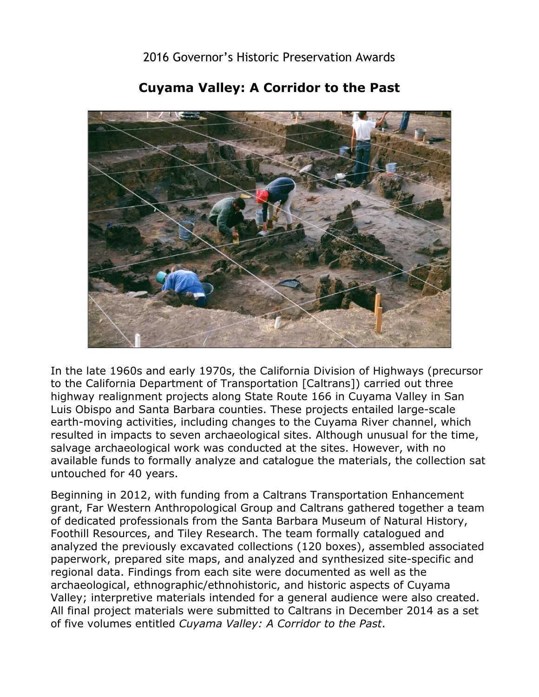2016 Governor's Historic Preservation Awards



## **Cuyama Valley: A Corridor to the Past**

 resulted in impacts to seven archaeological sites. Although unusual for the time, available funds to formally analyze and catalogue the materials, the collection sat In the late 1960s and early 1970s, the California Division of Highways (precursor to the California Department of Transportation [Caltrans]) carried out three highway realignment projects along State Route 166 in Cuyama Valley in San Luis Obispo and Santa Barbara counties. These projects entailed large-scale earth-moving activities, including changes to the Cuyama River channel, which salvage archaeological work was conducted at the sites. However, with no untouched for 40 years.

Beginning in 2012, with funding from a Caltrans Transportation Enhancement grant, Far Western Anthropological Group and Caltrans gathered together a team of dedicated professionals from the Santa Barbara Museum of Natural History, Foothill Resources, and Tiley Research. The team formally catalogued and analyzed the previously excavated collections (120 boxes), assembled associated paperwork, prepared site maps, and analyzed and synthesized site-specific and regional data. Findings from each site were documented as well as the archaeological, ethnographic/ethnohistoric, and historic aspects of Cuyama Valley; interpretive materials intended for a general audience were also created. All final project materials were submitted to Caltrans in December 2014 as a set of five volumes entitled *Cuyama Valley: A Corridor to the Past*.